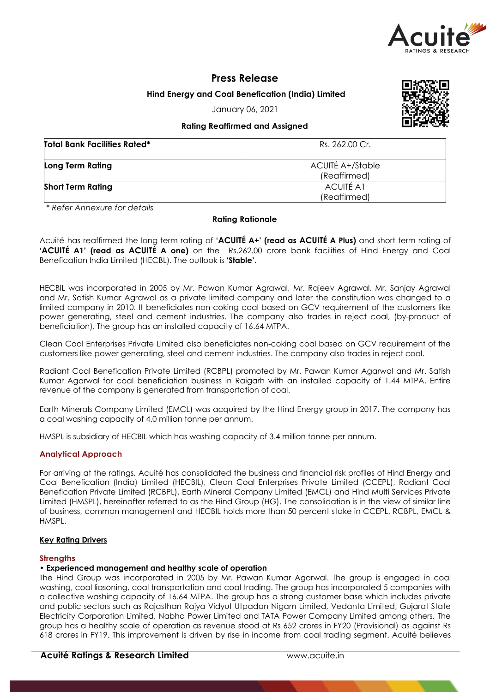

# **Press Release**

**Hind Energy and Coal Benefication (India) Limited**

January 06, 2021

## **Rating Reaffirmed and Assigned**

| <b>Total Bank Facilities Rated*</b> | Rs. 262.00 Cr.                   |
|-------------------------------------|----------------------------------|
| <b>Long Term Rating</b>             | ACUITÉ A+/Stable<br>(Reaffirmed) |
| <b>Short Term Rating</b>            | <b>ACUITÉ A1</b><br>(Reaffirmed) |

*\* Refer Annexure for details*

## **Rating Rationale**

Acuité has reaffirmed the long-term rating of **'ACUITÉ A+' (read as ACUITÉ A Plus)** and short term rating of **'ACUITÉ A1' (read as ACUITÉ A one)** on the Rs.262.00 crore bank facilities of Hind Energy and Coal Benefication India Limited (HECBL). The outlook is **'Stable'**.

HECBIL was incorporated in 2005 by Mr. Pawan Kumar Agrawal, Mr. Rajeev Agrawal, Mr. Sanjay Agrawal and Mr. Satish Kumar Agrawal as a private limited company and later the constitution was changed to a limited company in 2010. It beneficiates non-coking coal based on GCV requirement of the customers like power generating, steel and cement industries. The company also trades in reject coal, (by-product of beneficiation). The group has an installed capacity of 16.64 MTPA.

Clean Coal Enterprises Private Limited also beneficiates non-coking coal based on GCV requirement of the customers like power generating, steel and cement industries. The company also trades in reject coal.

Radiant Coal Benefication Private Limited (RCBPL) promoted by Mr. Pawan Kumar Agarwal and Mr. Satish Kumar Agarwal for coal beneficiation business in Raigarh with an installed capacity of 1.44 MTPA. Entire revenue of the company is generated from transportation of coal.

Earth Minerals Company Limited (EMCL) was acquired by the Hind Energy group in 2017. The company has a coal washing capacity of 4.0 million tonne per annum.

HMSPL is subsidiary of HECBIL which has washing capacity of 3.4 million tonne per annum.

## **Analytical Approach**

For arriving at the ratings, Acuité has consolidated the business and financial risk profiles of Hind Energy and Coal Benefication (India) Limited (HECBIL), Clean Coal Enterprises Private Limited (CCEPL), Radiant Coal Benefication Private Limited (RCBPL), Earth Mineral Company Limited (EMCL) and Hind Multi Services Private Limited (HMSPL), hereinafter referred to as the Hind Group (HG). The consolidation is in the view of similar line of business, common management and HECBIL holds more than 50 percent stake in CCEPL, RCBPL, EMCL & HMSPL.

### **Key Rating Drivers**

### **Strengths**

## **• Experienced management and healthy scale of operation**

The Hind Group was incorporated in 2005 by Mr. Pawan Kumar Agarwal. The group is engaged in coal washing, coal liasoning, coal transportation and coal trading. The group has incorporated 5 companies with a collective washing capacity of 16.64 MTPA. The group has a strong customer base which includes private and public sectors such as Rajasthan Rajya Vidyut Utpadan Nigam Limited, Vedanta Limited, Gujarat State Electricity Corporation Limited, Nabha Power Limited and TATA Power Company Limited among others. The group has a healthy scale of operation as revenue stood at Rs 652 crores in FY20 (Provisional) as against Rs 618 crores in FY19. This improvement is driven by rise in income from coal trading segment. Acuité believes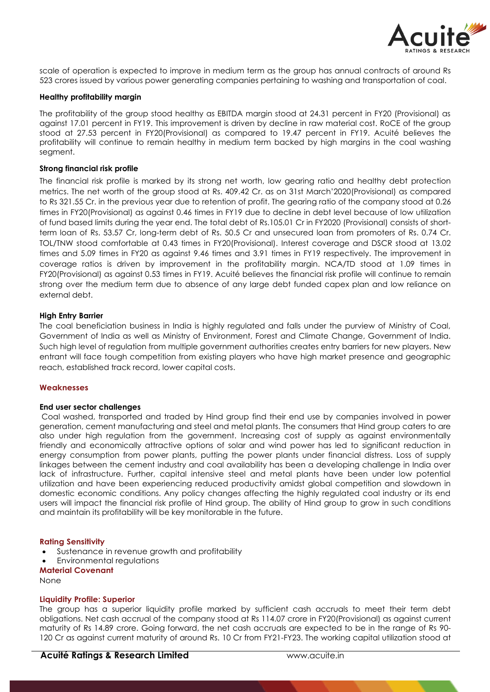

scale of operation is expected to improve in medium term as the group has annual contracts of around Rs 523 crores issued by various power generating companies pertaining to washing and transportation of coal.

### **Healthy profitability margin**

The profitability of the group stood healthy as EBITDA margin stood at 24.31 percent in FY20 (Provisional) as against 17.01 percent in FY19. This improvement is driven by decline in raw material cost. RoCE of the group stood at 27.53 percent in FY20(Provisional) as compared to 19.47 percent in FY19. Acuité believes the profitability will continue to remain healthy in medium term backed by high margins in the coal washing segment.

### **Strong financial risk profile**

The financial risk profile is marked by its strong net worth, low gearing ratio and healthy debt protection metrics. The net worth of the group stood at Rs. 409.42 Cr. as on 31st March'2020(Provisional) as compared to Rs 321.55 Cr. in the previous year due to retention of profit. The gearing ratio of the company stood at 0.26 times in FY20(Provisional) as against 0.46 times in FY19 due to decline in debt level because of low utilization of fund based limits during the year end. The total debt of Rs.105.01 Cr in FY2020 (Provisional) consists of shortterm loan of Rs. 53.57 Cr, long-term debt of Rs. 50.5 Cr and unsecured loan from promoters of Rs. 0.74 Cr. TOL/TNW stood comfortable at 0.43 times in FY20(Provisional). Interest coverage and DSCR stood at 13.02 times and 5.09 times in FY20 as against 9.46 times and 3.91 times in FY19 respectively. The improvement in coverage ratios is driven by improvement in the profitability margin. NCA/TD stood at 1.09 times in FY20(Provisional) as against 0.53 times in FY19. Acuité believes the financial risk profile will continue to remain strong over the medium term due to absence of any large debt funded capex plan and low reliance on external debt.

### **High Entry Barrier**

The coal beneficiation business in India is highly regulated and falls under the purview of Ministry of Coal, Government of India as well as Ministry of Environment, Forest and Climate Change, Government of India. Such high level of regulation from multiple government authorities creates entry barriers for new players. New entrant will face tough competition from existing players who have high market presence and geographic reach, established track record, lower capital costs.

### **Weaknesses**

### **End user sector challenges**

Coal washed, transported and traded by Hind group find their end use by companies involved in power generation, cement manufacturing and steel and metal plants. The consumers that Hind group caters to are also under high regulation from the government. Increasing cost of supply as against environmentally friendly and economically attractive options of solar and wind power has led to significant reduction in energy consumption from power plants, putting the power plants under financial distress. Loss of supply linkages between the cement industry and coal availability has been a developing challenge in India over lack of infrastructure. Further, capital intensive steel and metal plants have been under low potential utilization and have been experiencing reduced productivity amidst global competition and slowdown in domestic economic conditions. Any policy changes affecting the highly regulated coal industry or its end users will impact the financial risk profile of Hind group. The ability of Hind group to grow in such conditions and maintain its profitability will be key monitorable in the future.

### **Rating Sensitivity**

- Sustenance in revenue growth and profitability
- Environmental regulations

**Material Covenant** None

## **Liquidity Profile: Superior**

The group has a superior liquidity profile marked by sufficient cash accruals to meet their term debt obligations. Net cash accrual of the company stood at Rs 114.07 crore in FY20(Provisional) as against current maturity of Rs 14.89 crore. Going forward, the net cash accruals are expected to be in the range of Rs 90- 120 Cr as against current maturity of around Rs. 10 Cr from FY21-FY23. The working capital utilization stood at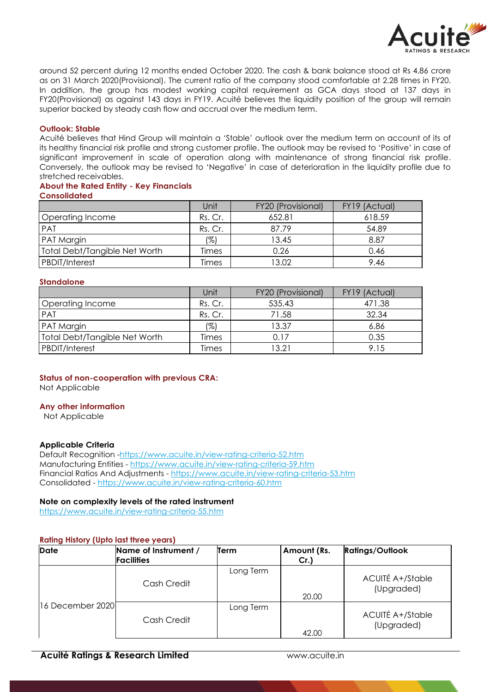

around 52 percent during 12 months ended October 2020. The cash & bank balance stood at Rs 4.86 crore as on 31 March 2020(Provisional). The current ratio of the company stood comfortable at 2.28 times in FY20. In addition, the group has modest working capital requirement as GCA days stood at 137 days in FY20(Provisional) as against 143 days in FY19. Acuité believes the liquidity position of the group will remain superior backed by steady cash flow and accrual over the medium term.

### **Outlook: Stable**

Acuité believes that Hind Group will maintain a 'Stable' outlook over the medium term on account of its of its healthy financial risk profile and strong customer profile. The outlook may be revised to 'Positive' in case of significant improvement in scale of operation along with maintenance of strong financial risk profile. Conversely, the outlook may be revised to 'Negative' in case of deterioration in the liquidity profile due to stretched receivables.

### **About the Rated Entity - Key Financials Consolidated**

|                               | Unit    | FY20 (Provisional) | FY19 (Actual) |
|-------------------------------|---------|--------------------|---------------|
| Operating Income              | Rs. Cr. | 652.81             | 618.59        |
| PAT                           | Rs. Cr. | 87.79              | 54.89         |
| <b>PAT Margin</b>             | (%)     | 13.45              | 8.87          |
| Total Debt/Tangible Net Worth | Times   | 0.26               | 0.46          |
| PBDIT/Interest                | Times   | 13.02              | 9.46          |

## **Standalone**

|                                      | Unit    | FY20 (Provisional) | FY19 (Actual) |
|--------------------------------------|---------|--------------------|---------------|
| Operating Income                     | Rs. Cr. | 535.43             | 471.38        |
| PAT                                  | Rs. Cr. | 71.58              | 32.34         |
| PAT Margin                           | (%)     | 13.37              | 6.86          |
| <b>Total Debt/Tangible Net Worth</b> | Times   | 0.17               | 0.35          |
| PBDIT/Interest                       | Times   | 13.21              | 9.15          |

# **Status of non-cooperation with previous CRA:**

Not Applicable

## **Any other information**

Not Applicable

### **Applicable Criteria**

Default Recognition -https://www.acuite.in/view-rating-criteria-52.htm Manufacturing Entities - https://www.acuite.in/view-rating-criteria-59.htm Financial Ratios And Adjustments - https://www.acuite.in/view-rating-criteria-53.htm Consolidated - https://www.acuite.in/view-rating-criteria-60.htm

## **Note on complexity levels of the rated instrument**

https://www.acuite.in/view-rating-criteria-55.htm

## **Rating History (Upto last three years)**

| <b>Date</b>      | Name of Instrument / | Term      | Amount (Rs. | <b>Ratings/Outlook</b>         |
|------------------|----------------------|-----------|-------------|--------------------------------|
|                  | <b>Facilities</b>    |           | $Cr.$ )     |                                |
|                  | Cash Credit          | Long Term | 20.00       | ACUITÉ A+/Stable<br>(Upgraded) |
| 16 December 2020 | Cash Credit          | Long Term | 42.00       | ACUITÉ A+/Stable<br>(Upgraded) |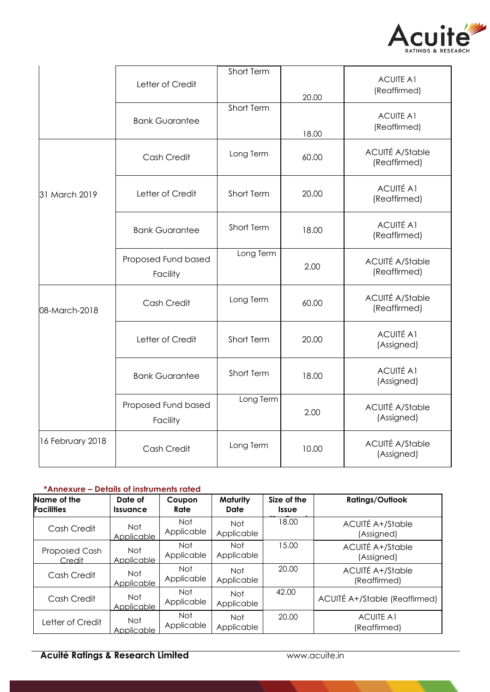

|                  | Letter of Credit                | Short Term | 20.00 | <b>ACUITE A1</b><br>(Reaffirmed)       |
|------------------|---------------------------------|------------|-------|----------------------------------------|
|                  | <b>Bank Guarantee</b>           | Short Term | 18.00 | <b>ACUITE A1</b><br>(Reaffirmed)       |
|                  | Cash Credit                     | Long Term  | 60.00 | <b>ACUITÉ A/Stable</b><br>(Reaffirmed) |
| 31 March 2019    | Letter of Credit                | Short Term | 20.00 | <b>ACUITÉ A1</b><br>(Reaffirmed)       |
|                  | <b>Bank Guarantee</b>           | Short Term | 18.00 | <b>ACUITÉ A1</b><br>(Reaffirmed)       |
|                  | Proposed Fund based<br>Facility | Long Term  | 2.00  | <b>ACUITÉ A/Stable</b><br>(Reaffirmed) |
| 08-March-2018    | Cash Credit                     | Long Term  | 60.00 | <b>ACUITÉ A/Stable</b><br>(Reaffirmed) |
|                  | Letter of Credit                | Short Term | 20.00 | <b>ACUITÉ A1</b><br>(Assigned)         |
|                  | <b>Bank Guarantee</b>           | Short Term | 18.00 | <b>ACUITÉ A1</b><br>(Assigned)         |
|                  | Proposed Fund based<br>Facility | Long Term  | 2.00  | <b>ACUITÉ A/Stable</b><br>(Assigned)   |
| 16 February 2018 | Cash Credit                     | Long Term  | 10.00 | <b>ACUITÉ A/Stable</b><br>(Assigned)   |

# **\*Annexure – Details of instruments rated**

| Name of the<br><b>Facilities</b> | Date of<br><i><u><b>Issuance</b></u></i> | Coupon<br>Rate     | Maturity<br>Date         | Size of the<br><b>Issue</b> | <b>Ratings/Outlook</b>                  |
|----------------------------------|------------------------------------------|--------------------|--------------------------|-----------------------------|-----------------------------------------|
| Cash Credit                      | Not<br>Applicable                        | Not.<br>Applicable | <b>Not</b><br>Applicable | 18.00                       | <b>ACUITÉ A+/Stable</b><br>(Assigned)   |
| Proposed Cash<br>Credit          | Not.<br>Applicable                       | Not.<br>Applicable | <b>Not</b><br>Applicable | 15.00                       | <b>ACUITÉ A+/Stable</b><br>(Assigned)   |
| Cash Credit                      | Not<br>Applicable                        | Not<br>Applicable  | <b>Not</b><br>Applicable | 20.00                       | <b>ACUITÉ A+/Stable</b><br>(Reaffirmed) |
| Cash Credit                      | Not<br>Applicable                        | Not<br>Applicable  | <b>Not</b><br>Applicable | 42.00                       | ACUITÉ A+/Stable (Reaffirmed)           |
| Letter of Credit                 | Not<br>Applicable                        | Not<br>Applicable  | Not<br>Applicable        | 20.00                       | <b>ACUITE A1</b><br>(Reaffirmed)        |